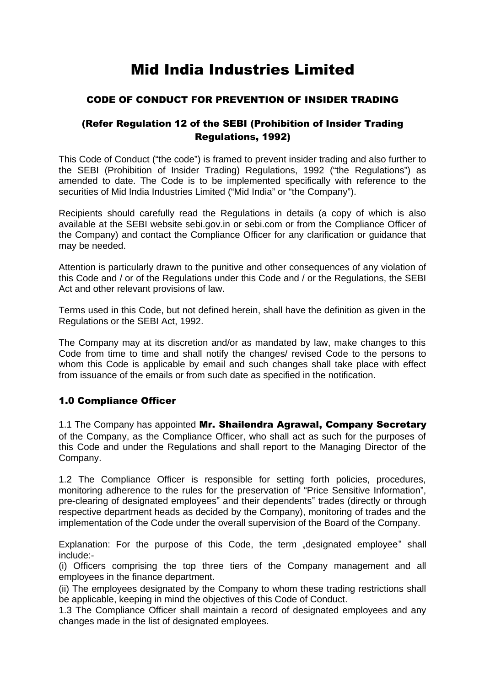# Mid India Industries Limited

# CODE OF CONDUCT FOR PREVENTION OF INSIDER TRADING

# (Refer Regulation 12 of the SEBI (Prohibition of Insider Trading Regulations, 1992)

This Code of Conduct ("the code") is framed to prevent insider trading and also further to the SEBI (Prohibition of Insider Trading) Regulations, 1992 ("the Regulations") as amended to date. The Code is to be implemented specifically with reference to the securities of Mid India Industries Limited ("Mid India" or "the Company").

Recipients should carefully read the Regulations in details (a copy of which is also available at the SEBI website sebi.gov.in or sebi.com or from the Compliance Officer of the Company) and contact the Compliance Officer for any clarification or guidance that may be needed.

Attention is particularly drawn to the punitive and other consequences of any violation of this Code and / or of the Regulations under this Code and / or the Regulations, the SEBI Act and other relevant provisions of law.

Terms used in this Code, but not defined herein, shall have the definition as given in the Regulations or the SEBI Act, 1992.

The Company may at its discretion and/or as mandated by law, make changes to this Code from time to time and shall notify the changes/ revised Code to the persons to whom this Code is applicable by email and such changes shall take place with effect from issuance of the emails or from such date as specified in the notification.

# 1.0 Compliance Officer

1.1 The Company has appointed Mr. Shailendra Agrawal, Company Secretary of the Company, as the Compliance Officer, who shall act as such for the purposes of this Code and under the Regulations and shall report to the Managing Director of the Company.

1.2 The Compliance Officer is responsible for setting forth policies, procedures, monitoring adherence to the rules for the preservation of "Price Sensitive Information", pre-clearing of designated employees" and their dependents" trades (directly or through respective department heads as decided by the Company), monitoring of trades and the implementation of the Code under the overall supervision of the Board of the Company.

Explanation: For the purpose of this Code, the term "designated employee" shall include:-

(i) Officers comprising the top three tiers of the Company management and all employees in the finance department.

(ii) The employees designated by the Company to whom these trading restrictions shall be applicable, keeping in mind the objectives of this Code of Conduct.

1.3 The Compliance Officer shall maintain a record of designated employees and any changes made in the list of designated employees.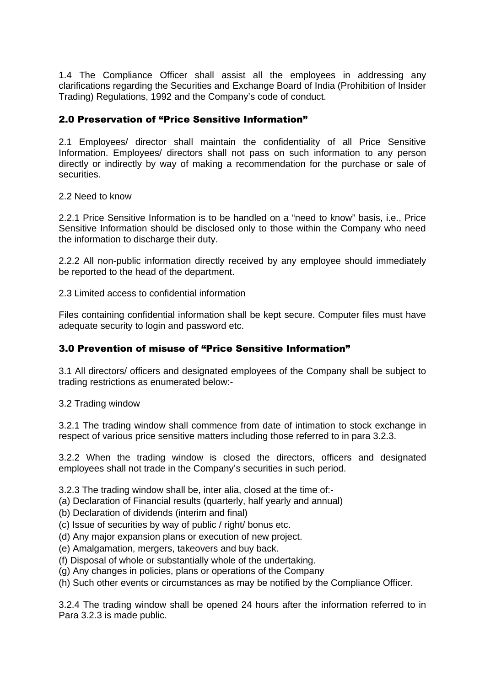1.4 The Compliance Officer shall assist all the employees in addressing any clarifications regarding the Securities and Exchange Board of India (Prohibition of Insider Trading) Regulations, 1992 and the Company's code of conduct.

### 2.0 Preservation of "Price Sensitive Information"

2.1 Employees/ director shall maintain the confidentiality of all Price Sensitive Information. Employees/ directors shall not pass on such information to any person directly or indirectly by way of making a recommendation for the purchase or sale of securities.

#### 2.2 Need to know

2.2.1 Price Sensitive Information is to be handled on a "need to know" basis, i.e., Price Sensitive Information should be disclosed only to those within the Company who need the information to discharge their duty.

2.2.2 All non-public information directly received by any employee should immediately be reported to the head of the department.

2.3 Limited access to confidential information

Files containing confidential information shall be kept secure. Computer files must have adequate security to login and password etc.

## 3.0 Prevention of misuse of "Price Sensitive Information"

3.1 All directors/ officers and designated employees of the Company shall be subject to trading restrictions as enumerated below:-

3.2 Trading window

3.2.1 The trading window shall commence from date of intimation to stock exchange in respect of various price sensitive matters including those referred to in para 3.2.3.

3.2.2 When the trading window is closed the directors, officers and designated employees shall not trade in the Company's securities in such period.

3.2.3 The trading window shall be, inter alia, closed at the time of:-

- (a) Declaration of Financial results (quarterly, half yearly and annual)
- (b) Declaration of dividends (interim and final)
- (c) Issue of securities by way of public / right/ bonus etc.
- (d) Any major expansion plans or execution of new project.
- (e) Amalgamation, mergers, takeovers and buy back.
- (f) Disposal of whole or substantially whole of the undertaking.
- (g) Any changes in policies, plans or operations of the Company
- (h) Such other events or circumstances as may be notified by the Compliance Officer.

3.2.4 The trading window shall be opened 24 hours after the information referred to in Para 3.2.3 is made public.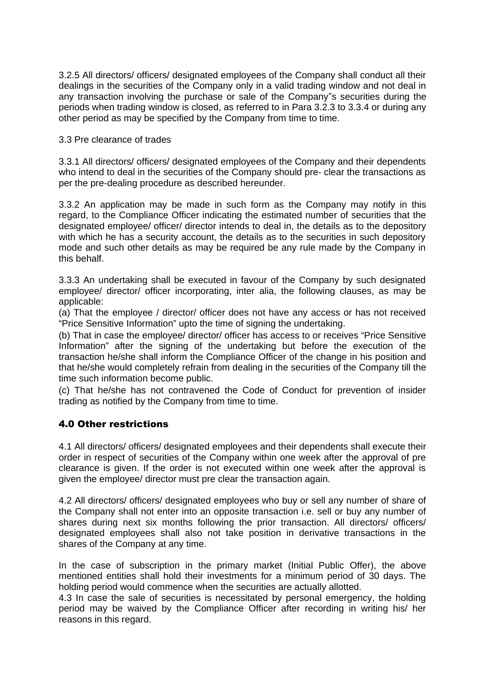3.2.5 All directors/ officers/ designated employees of the Company shall conduct all their dealings in the securities of the Company only in a valid trading window and not deal in any transaction involving the purchase or sale of the Company"s securities during the periods when trading window is closed, as referred to in Para 3.2.3 to 3.3.4 or during any other period as may be specified by the Company from time to time.

#### 3.3 Pre clearance of trades

3.3.1 All directors/ officers/ designated employees of the Company and their dependents who intend to deal in the securities of the Company should pre- clear the transactions as per the pre-dealing procedure as described hereunder.

3.3.2 An application may be made in such form as the Company may notify in this regard, to the Compliance Officer indicating the estimated number of securities that the designated employee/ officer/ director intends to deal in, the details as to the depository with which he has a security account, the details as to the securities in such depository mode and such other details as may be required be any rule made by the Company in this behalf.

3.3.3 An undertaking shall be executed in favour of the Company by such designated employee/ director/ officer incorporating, inter alia, the following clauses, as may be applicable:

(a) That the employee / director/ officer does not have any access or has not received "Price Sensitive Information" upto the time of signing the undertaking.

(b) That in case the employee/ director/ officer has access to or receives "Price Sensitive Information" after the signing of the undertaking but before the execution of the transaction he/she shall inform the Compliance Officer of the change in his position and that he/she would completely refrain from dealing in the securities of the Company till the time such information become public.

(c) That he/she has not contravened the Code of Conduct for prevention of insider trading as notified by the Company from time to time.

#### 4.0 Other restrictions

4.1 All directors/ officers/ designated employees and their dependents shall execute their order in respect of securities of the Company within one week after the approval of pre clearance is given. If the order is not executed within one week after the approval is given the employee/ director must pre clear the transaction again.

4.2 All directors/ officers/ designated employees who buy or sell any number of share of the Company shall not enter into an opposite transaction i.e. sell or buy any number of shares during next six months following the prior transaction. All directors/ officers/ designated employees shall also not take position in derivative transactions in the shares of the Company at any time.

In the case of subscription in the primary market (Initial Public Offer), the above mentioned entities shall hold their investments for a minimum period of 30 days. The holding period would commence when the securities are actually allotted.

4.3 In case the sale of securities is necessitated by personal emergency, the holding period may be waived by the Compliance Officer after recording in writing his/ her reasons in this regard.